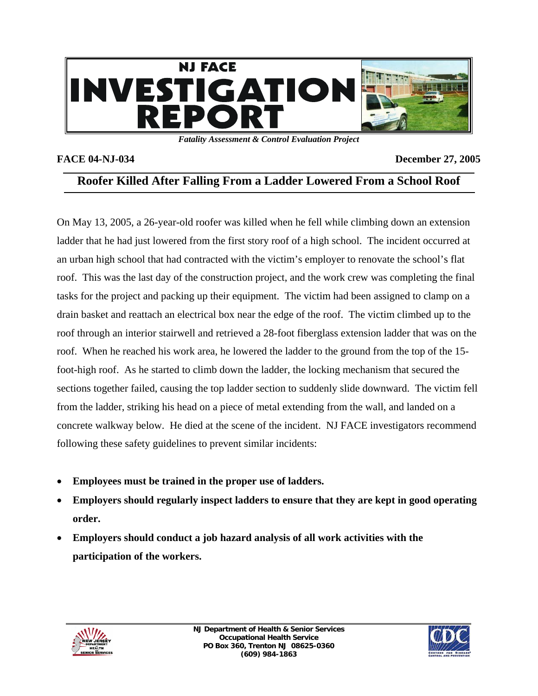

*Fatality Assessment & Control Evaluation Project* 

**FACE 04-NJ-034 December 27, 2005** 

# **Roofer Killed After Falling From a Ladder Lowered From a School Roof**

On May 13, 2005, a 26-year-old roofer was killed when he fell while climbing down an extension ladder that he had just lowered from the first story roof of a high school. The incident occurred at an urban high school that had contracted with the victim's employer to renovate the school's flat roof. This was the last day of the construction project, and the work crew was completing the final tasks for the project and packing up their equipment. The victim had been assigned to clamp on a drain basket and reattach an electrical box near the edge of the roof. The victim climbed up to the roof through an interior stairwell and retrieved a 28-foot fiberglass extension ladder that was on the roof. When he reached his work area, he lowered the ladder to the ground from the top of the 15 foot-high roof. As he started to climb down the ladder, the locking mechanism that secured the sections together failed, causing the top ladder section to suddenly slide downward. The victim fell from the ladder, striking his head on a piece of metal extending from the wall, and landed on a concrete walkway below. He died at the scene of the incident. NJ FACE investigators recommend following these safety guidelines to prevent similar incidents:

- Employees must be trained in the proper use of ladders.
- • **Employers should regularly inspect ladders to ensure that they are kept in good operating order.**
- **Employers should conduct a job hazard analysis of all work activities with the participation of the workers.**



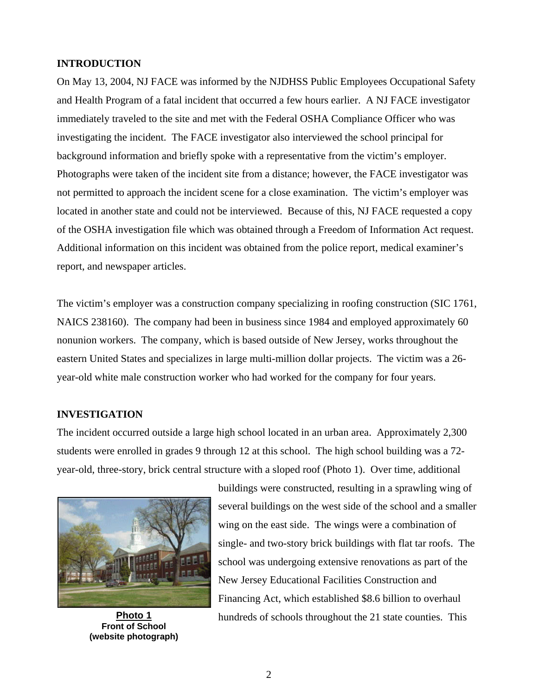## **INTRODUCTION**

On May 13, 2004, NJ FACE was informed by the NJDHSS Public Employees Occupational Safety and Health Program of a fatal incident that occurred a few hours earlier. A NJ FACE investigator immediately traveled to the site and met with the Federal OSHA Compliance Officer who was investigating the incident. The FACE investigator also interviewed the school principal for background information and briefly spoke with a representative from the victim's employer. Photographs were taken of the incident site from a distance; however, the FACE investigator was not permitted to approach the incident scene for a close examination. The victim's employer was located in another state and could not be interviewed. Because of this, NJ FACE requested a copy of the OSHA investigation file which was obtained through a Freedom of Information Act request. Additional information on this incident was obtained from the police report, medical examiner's report, and newspaper articles.

The victim's employer was a construction company specializing in roofing construction (SIC 1761, NAICS 238160). The company had been in business since 1984 and employed approximately 60 nonunion workers. The company, which is based outside of New Jersey, works throughout the eastern United States and specializes in large multi-million dollar projects. The victim was a 26 year-old white male construction worker who had worked for the company for four years.

### **INVESTIGATION**

The incident occurred outside a large high school located in an urban area. Approximately 2,300 students were enrolled in grades 9 through 12 at this school. The high school building was a 72 year-old, three-story, brick central structure with a sloped roof (Photo 1). Over time, additional



**Front of School (website photograph)** 

buildings were constructed, resulting in a sprawling wing of several buildings on the west side of the school and a smaller wing on the east side. The wings were a combination of single- and two-story brick buildings with flat tar roofs. The school was undergoing extensive renovations as part of the New Jersey Educational Facilities Construction and Financing Act, which established \$8.6 billion to overhaul **Photo 1 hundreds of schools throughout the 21 state counties. This**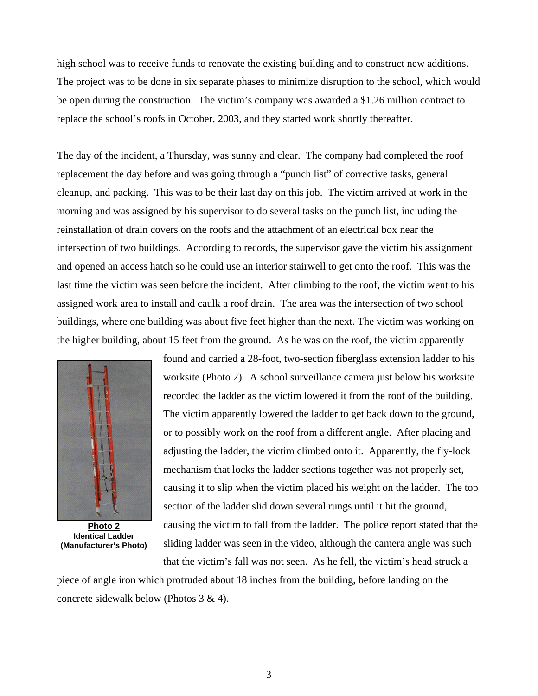high school was to receive funds to renovate the existing building and to construct new additions. The project was to be done in six separate phases to minimize disruption to the school, which would be open during the construction. The victim's company was awarded a \$1.26 million contract to replace the school's roofs in October, 2003, and they started work shortly thereafter.

The day of the incident, a Thursday, was sunny and clear. The company had completed the roof replacement the day before and was going through a "punch list" of corrective tasks, general cleanup, and packing. This was to be their last day on this job. The victim arrived at work in the morning and was assigned by his supervisor to do several tasks on the punch list, including the reinstallation of drain covers on the roofs and the attachment of an electrical box near the intersection of two buildings. According to records, the supervisor gave the victim his assignment and opened an access hatch so he could use an interior stairwell to get onto the roof. This was the last time the victim was seen before the incident. After climbing to the roof, the victim went to his assigned work area to install and caulk a roof drain. The area was the intersection of two school buildings, where one building was about five feet higher than the next. The victim was working on the higher building, about 15 feet from the ground. As he was on the roof, the victim apparently



**Photo 2 Identical Ladder (Manufacturer's Photo)** 

found and carried a 28-foot, two-section fiberglass extension ladder to his worksite (Photo 2). A school surveillance camera just below his worksite recorded the ladder as the victim lowered it from the roof of the building. The victim apparently lowered the ladder to get back down to the ground, or to possibly work on the roof from a different angle. After placing and adjusting the ladder, the victim climbed onto it. Apparently, the fly-lock mechanism that locks the ladder sections together was not properly set, causing it to slip when the victim placed his weight on the ladder. The top section of the ladder slid down several rungs until it hit the ground, causing the victim to fall from the ladder. The police report stated that the sliding ladder was seen in the video, although the camera angle was such that the victim's fall was not seen. As he fell, the victim's head struck a

piece of angle iron which protruded about 18 inches from the building, before landing on the concrete sidewalk below (Photos 3 & 4).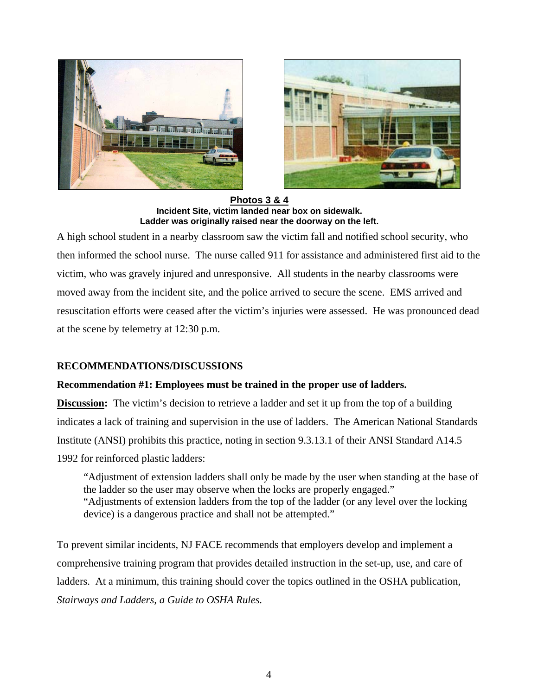



**Photos 3 & 4 Incident Site, victim landed near box on sidewalk. Ladder was originally raised near the doorway on the left.** 

A high school student in a nearby classroom saw the victim fall and notified school security, who then informed the school nurse. The nurse called 911 for assistance and administered first aid to the victim, who was gravely injured and unresponsive. All students in the nearby classrooms were moved away from the incident site, and the police arrived to secure the scene. EMS arrived and resuscitation efforts were ceased after the victim's injuries were assessed. He was pronounced dead at the scene by telemetry at 12:30 p.m.

## **RECOMMENDATIONS/DISCUSSIONS**

### **Recommendation #1: Employees must be trained in the proper use of ladders.**

**Discussion:** The victim's decision to retrieve a ladder and set it up from the top of a building indicates a lack of training and supervision in the use of ladders. The American National Standards Institute (ANSI) prohibits this practice, noting in section 9.3.13.1 of their ANSI Standard A14.5 1992 for reinforced plastic ladders:

"Adjustment of extension ladders shall only be made by the user when standing at the base of the ladder so the user may observe when the locks are properly engaged."

"Adjustments of extension ladders from the top of the ladder (or any level over the locking device) is a dangerous practice and shall not be attempted."

To prevent similar incidents, NJ FACE recommends that employers develop and implement a comprehensive training program that provides detailed instruction in the set-up, use, and care of ladders. At a minimum, this training should cover the topics outlined in the OSHA publication, *Stairways and Ladders, a Guide to OSHA Rules.*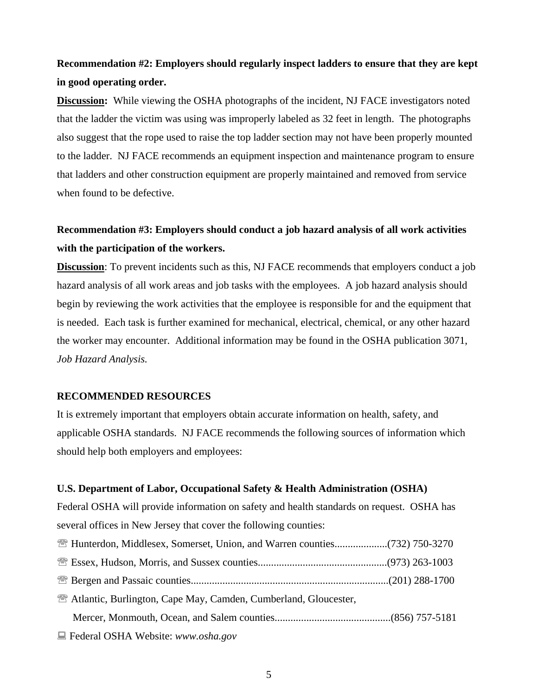# **Recommendation #2: Employers should regularly inspect ladders to ensure that they are kept in good operating order.**

**Discussion:** While viewing the OSHA photographs of the incident, NJ FACE investigators noted that the ladder the victim was using was improperly labeled as 32 feet in length. The photographs also suggest that the rope used to raise the top ladder section may not have been properly mounted to the ladder. NJ FACE recommends an equipment inspection and maintenance program to ensure that ladders and other construction equipment are properly maintained and removed from service when found to be defective.

# **Recommendation #3: Employers should conduct a job hazard analysis of all work activities with the participation of the workers.**

**Discussion**: To prevent incidents such as this, NJ FACE recommends that employers conduct a job hazard analysis of all work areas and job tasks with the employees. A job hazard analysis should begin by reviewing the work activities that the employee is responsible for and the equipment that is needed. Each task is further examined for mechanical, electrical, chemical, or any other hazard the worker may encounter. Additional information may be found in the OSHA publication 3071, *Job Hazard Analysis.* 

## **RECOMMENDED RESOURCES**

It is extremely important that employers obtain accurate information on health, safety, and applicable OSHA standards. NJ FACE recommends the following sources of information which should help both employers and employees:

### **U.S. Department of Labor, Occupational Safety & Health Administration (OSHA)**

Federal OSHA will provide information on safety and health standards on request. OSHA has several offices in New Jersey that cover the following counties:

| <b>Example 20</b> Atlantic, Burlington, Cape May, Camden, Cumberland, Gloucester, |  |
|-----------------------------------------------------------------------------------|--|
|                                                                                   |  |
| $\Box$ Federal OSHA Website: www.osha.gov                                         |  |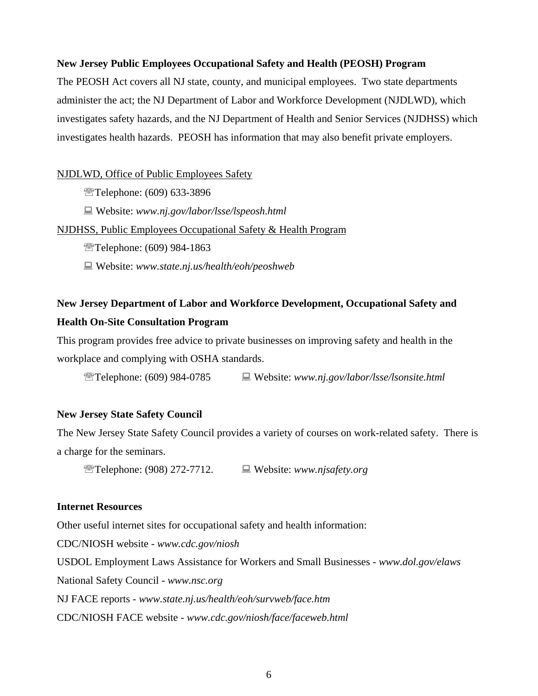#### **New Jersey Public Employees Occupational Safety and Health (PEOSH) Program**

The PEOSH Act covers all NJ state, county, and municipal employees. Two state departments administer the act; the NJ Department of Labor and Workforce Development (NJDLWD), which investigates safety hazards, and the NJ Department of Health and Senior Services (NJDHSS) which investigates health hazards. PEOSH has information that may also benefit private employers.

#### NJDLWD, Office of Public Employees Safety

*<u></u>*Telephone: (609) 633-3896

Website: *www.nj.gov/labor/lsse/lspeosh.html* 

NJDHSS, Public Employees Occupational Safety & Health Program

℡Telephone: (609) 984-1863

Website: *www.state.nj.us/health/eoh/peoshweb* 

# **New Jersey Department of Labor and Workforce Development, Occupational Safety and Health On-Site Consultation Program**

This program provides free advice to private businesses on improving safety and health in the workplace and complying with OSHA standards.

℡Telephone: (609) 984-0785 Website: *www.nj.gov/labor/lsse/lsonsite.html* 

#### **New Jersey State Safety Council**

The New Jersey State Safety Council provides a variety of courses on work-related safety. There is a charge for the seminars.

℡Telephone: (908) 272-7712. Website: *www.njsafety.org* 

#### **Internet Resources**

Other useful internet sites for occupational safety and health information: CDC/NIOSH website - *www.cdc.gov/niosh*  USDOL Employment Laws Assistance for Workers and Small Businesses - *www.dol.gov/elaws*  National Safety Council - *www.nsc.org*  NJ FACE reports - *www.state.nj.us/health/eoh/survweb/face.htm*  CDC/NIOSH FACE website - *www.cdc.gov/niosh/face/faceweb.html*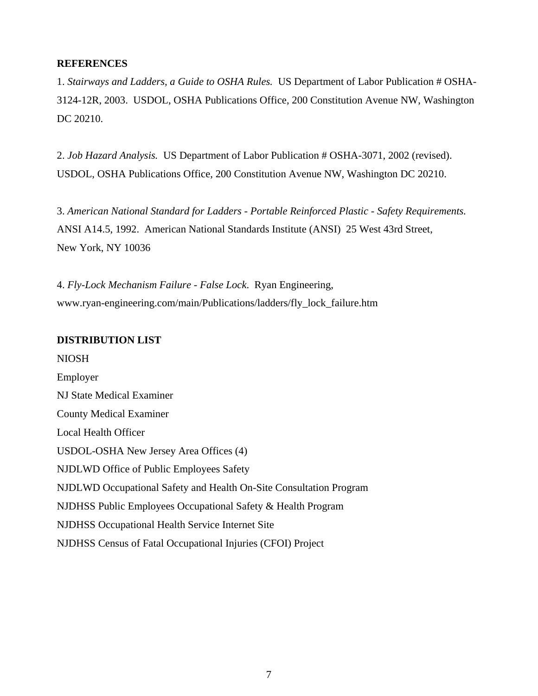#### **REFERENCES**

1. *Stairways and Ladders, a Guide to OSHA Rules.* US Department of Labor Publication # OSHA-3124-12R, 2003. USDOL, OSHA Publications Office, 200 Constitution Avenue NW, Washington DC 20210.

2. *Job Hazard Analysis.* US Department of Labor Publication # OSHA-3071, 2002 (revised). USDOL, OSHA Publications Office, 200 Constitution Avenue NW, Washington DC 20210.

3. *American National Standard for Ladders - Portable Reinforced Plastic - Safety Requirements.*  ANSI A14.5, 1992. American National Standards Institute (ANSI) 25 West 43rd Street, New York, NY 10036

4. *Fly-Lock Mechanism Failure - False Lock*. Ryan Engineering, www.ryan-engineering.com/main/Publications/ladders/fly\_lock\_failure.htm

### **DISTRIBUTION LIST**

NIOSH Employer NJ State Medical Examiner County Medical Examiner Local Health Officer USDOL-OSHA New Jersey Area Offices (4) NJDLWD Office of Public Employees Safety NJDLWD Occupational Safety and Health On-Site Consultation Program NJDHSS Public Employees Occupational Safety & Health Program NJDHSS Occupational Health Service Internet Site NJDHSS Census of Fatal Occupational Injuries (CFOI) Project